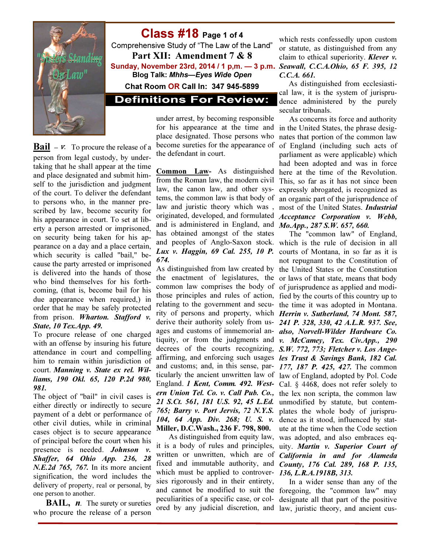

Class #18 Page 1 of 4 Comprehensive Study of "The Law of the Land" Part XII: Amendment 7 & 8 Sunday, November 23rd, 2014 / 1 p,m. — 3 p.m. Blog Talk: Mhhs—Eyes Wide Open Chat Room OR Call In: 347 945-5899

**Definitions For Review:** 

**Bail** –  $v$ . To procure the release of a person from legal custody, by undertaking that he shall appear at the time and place designated and submit himself to the jurisdiction and judgment of the court. To deliver the defendant to persons who, in the manner prescribed by law, become security for his appearance in court. To set at liberty a person arrested or imprisoned, on security being taken for his appearance on a day and a place certain, which security is called "bail," because the party arrested or imprisoned is delivered into the hands of those who bind themselves for his forthcoming, (that is, become bail for his due appearance when required,) in order that he may be safely protected from prison. *Wharton. Stafford v. State, 10 Tex.App. 49.* 

To procure release of one charged with an offense by insuring his future attendance in court and compelling him to remain within jurisdiction of court. *Manning v. State ex rel. Williams, 190 Okl. 65, 120 P.2d 980, 981.* 

The object of "bail" in civil cases is either directly or indirectly to secure payment of a debt or performance of other civil duties, while in criminal cases object is to secure appearance of principal before the court when his presence is needed. *Johnson v. Shaffer, 64 Ohio App. 236, 28 N.E.2d 765, 767.* In its more ancient signification, the word includes the delivery of property, real or personal, by one person to another.

**BAIL,**  $n$ . The surety or sureties who procure the release of a person

under arrest, by becoming responsible for his appearance at the time and in the United States, the phrase desigplace designated. Those persons who become sureties for the appearance of the defendant in court.

Common Law- As distinguished from the Roman law, the modern civil law, the canon law, and other systems, the common law is that body of law and juristic theory which was , originated, developed, and formulated and is administered in England, and has obtained amongst of the states and peoples of Anglo-Saxon stock. *Lux v. Haggin, 69 Cal. 255, 10 P. 674.*

As distinguished from law created by the enactment of legislatures, the common law comprises the body of those principles and rules of action, relating to the government and security of persons and property, which derive their authority solely from usages and customs of immemorial antiquity, or from the judgments and decrees of the courts recognizing, affirming, and enforcing such usages and customs; and, in this sense, particularly the ancient unwritten law of England. *1 Kent, Comm. 492. Western Union Tel. Co. v. Call Pub. Co., 21 S.Ct. 561, 181 U.S. 92, 45 L.Ed. 765; Barry v. Port Jervis, 72 N.Y.S. 104, 64 App. Div. 268; U. S. v.* Miller, D.C.Wash., 236 F. 798, 800.

As distinguished from equity law, it is a body of rules and principles, written or unwritten, which are of fixed and immutable authority, and which must be applied to controversies rigorously and in their entirety, and cannot be modified to suit the peculiarities of a specific case, or colored by any judicial discretion, and

which rests confessedly upon custom or statute, as distinguished from any claim to ethical superiority. *Klever v. Seawall, C.C.A.Ohio, 65 F. 395, 12 C.C.A. 661.* 

 As distinguished from ecclesiastical law, it is the system of jurisprudence administered by the purely secular tribunals.

As concerns its force and authority nates that portion of the common law of England (including such acts of parliament as were applicable) which had been adopted and was in force here at the time of the Revolution. This, so far as it has not since been expressly abrogated, is recognized as an organic part of the jurisprudence of most of the United States. *Industrial Acceptance Corporation v. Webb, Mo.App., 287 S.W. 657, 660.* 

The "common law" of England, which is the rule of decision in all courts of Montana, in so far as it is not repugnant to the Constitution of the United States or the Constitution or laws of that state, means that body of jurisprudence as applied and modified by the courts of this country up to the time it was adopted in Montana. *Herrin v. Sutherland, 74 Mont. 587, 241 P. 328, 330, 42 A.L.R. 937. See, also, Norvell-Wilder Hardware Co. v. McCamey, Tex. Civ.App., 290 S.W. 772, 773; Fletcher v. Los Angeles Trust & Savings Bank, 182 Cal. 177, 187 P. 425, 427.* The common law of England, adopted by Pol. Code Cal. § 4468, does not refer solely to the lex non scripta, the common law unmodified by statute, but contemplates the whole body of jurisprudence as it stood, influenced by statute at the time when the Code section was adopted, and also embraces equity. *Martin v. Superior Court of California in and for Alameda County, 176 Cal. 289, 168 P. 135, 136, L.R.A.1918B, 313.*

In a wider sense than any of the foregoing, the "common law" may designate all that part of the positive law, juristic theory, and ancient cus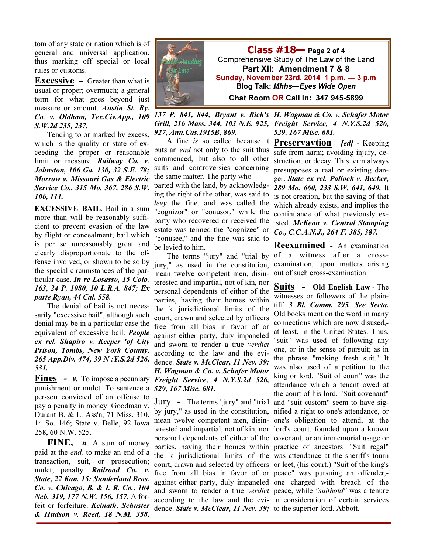tom of any state or nation which is of general and universal application, thus marking off special or local rules or customs.

**Excessive** – Greater than what is usual or proper; overmuch; a general term for what goes beyond just measure or amount. *Austin St. Ry. Co. v. Oldham, Tex.Civ.App., 109 S.W.2d 235, 237.* 

Tending to or marked by excess, which is the quality or state of exceeding the proper or reasonable limit or measure. *Railway Co. v. Johnston, 106 Ga. 130, 32 S.E. 78; Morrow v. Missouri Gas & Electric Service Co., 315 Mo. 367, 286 S.W. 106, 111.* 

EXCESSIVE BAIL. Bail in a sum more than will be reasonably sufficient to prevent evasion of the law by flight or concealment; bail which is per se unreasonably great and clearly disproportionate to the offense involved, or shown to be so by the special circumstances of the particular case. *In re Losasso, 15 Colo. 163, 24 P. 1080, 10 L.R.A. 847; Ex parte Ryan, 44 Cal. 558.* 

The denial of bail is not necessarily "excessive bail", although such denial may be in a particular case the equivalent of excessive bail. *People ex rel. Shapiro v. Keeper 'of City Prison, Tombs, New York County, 265 App.Div. 474, 39 N :Y.S.2d 526, 531.* 

**Fines** -  $v$ . To impose a pecuniary punishment or mulct. To sentence a per-son convicted of an offense to pay a penalty in money. Goodman v. Durant B. & L. Ass'n, 71 Miss. 310, 14 So. 146; State v. Belle, 92 Iowa 258, 60 N.W. 525.

FINE,  $n.$  A sum of money paid at the end, to make an end of a transaction, suit, or prosecution; mulct; penalty. *Railroad Co. v. State, 22 Kan. 15; Sunderland Bros. Co. v. Chicago, B. & I. R. Co., 104 Neb. 319, 177 N.W. 156, 157.* A forfeit or forfeiture. *Keinath, Schuster & Hudson v. Reed, 18 N.M. 358,* 



*137 P. 841, 844; Bryant v. Rich's H. Wagman & Co. v. Schafer Motor Grill, 216 Mass. 344, 103 N.E. 925, Freight Service, 4 N.Y.S.2d 526, 927, Ann.Cas.1915B, 869. 529, 167 Misc. 681.* 

A fine is so called because it Preservavtion *[ed]* - Keeping puts an *end* not only to the suit thus commenced, but also to all other suits and controversies concerning the same matter. The party who parted with the land, by acknowledging the right of the other, was said to levy the fine, and was called the "cognizor" or "conusor," while the party who recovered or received the estate was termed the "cognizee" or "conusee," and the fine was said to be levied to him.

jury," as used in the constitution, mean twelve competent men, disinterested and impartial, not of kin, nor personal dependents of either of the parties, having their homes within the k jurisdictional limits of the court, drawn and selected by officers free from all bias in favor of or against either party, duly impaneled and sworn to render a true verdict according to the law and the evidence. *State v. McClear, 11 Nev. 39; H. Wagman & Co. v. Schafer Motor Freight Service, 4 N.Y.S.2d 526, 529, 167 Misc. 681.* 

free from all bias in favor of or peace" was pursuing an offender, dence. *State v. McClear, 11 Nev. 39;*  to the superior lord. Abbott.

safe from harm; avoiding injury, destruction, or decay. This term always presupposes a real or existing danger. *State ex rel. Pollock v. Becker, 289 Mo. 660, 233 S.W. 641, 649.* It is not creation, but the saving of that which already exists, and implies the continuance of what previously existed. *McKeon v. Central Stamping Co., C.C.A.N.J., 264 F. 385, 387.* 

The terms "jury" and "trial by of a witness after a cross-Reexamined - An examination examination, upon matters arising out of such cross-examination.

Jury - The terms "jury" and "trial and "suit custom" seem to have sigby jury," as used in the constitution, nified a right to one's attendance, or mean twelve competent men, disin-one's obligation to attend, at the terested and impartial, not of kin, nor lord's court, founded upon a known personal dependents of either of the covenant, or an immemorial usage or parties, having their homes within practice of ancestors. "Suit regal" the k jurisdictional limits of the was attendance at the sheriff's tourn court, drawn and selected by officers or leet, (his court.) "Suit of the king's against either party, duly impaneled one charged with breach of the and sworn to render a true verdict peace, while "suithold" was a tenure according to the law and the evi-in consideration of certain services Suits - Old English Law - The witnesses or followers of the plaintiff. *3 Bl. Comm. 295. See Secta.*  Old books mention the word in many connections which are now disused, at least, in the United States. Thus, "suit" was used of following any one, or in the sense of pursuit; as in the phrase "making fresh suit." It was also used of a petition to the king or lord. "Suit of court" was the attendance which a tenant owed at the court of his lord. "Suit covenant"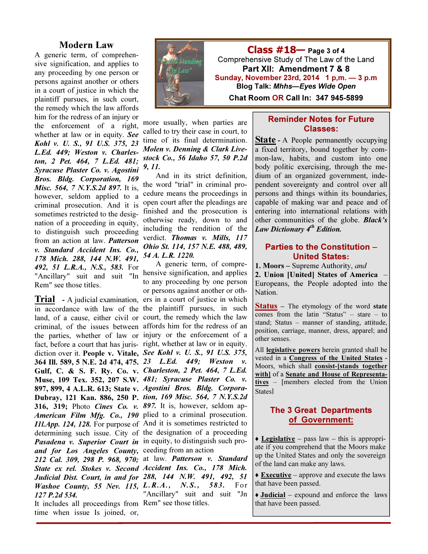#### Modern Law

A generic term, of comprehensive signification, and applies to any proceeding by one person or persons against another or others in a court of justice in which the plaintiff pursues, in such court, the remedy which the law affords him for the redress of an injury or

the enforcement of a right, whether at law or in equity. *See Kohl v. U. S., 91 U.S. 375, 23 L.Ed. 449; Weston v. Charleston, 2 Pet. 464, 7 L.Ed. 481; Syracuse Plaster Co. v. Agostini Bros. Bldg. Corporation, 169 Misc. 564, 7 N.Y.S.2d 897.* It is, however, seldom applied to a criminal prosecution. And it is sometimes restricted to the designation of a proceeding in equity, to distinguish such proceeding from an action at law. *Patterson v. Standard Accident Ins. Co., 178 Mich. 288, 144 N.W. 491, 492, 51 L.R.A., N.S., 583.* For "Ancillary" suit and suit "In Rem" see those titles.

897, 899, 4 A.L.R. 613; State v. *Agostini Bros. Bldg. Corpora-*316, 319; Photo *Cines Co. v. 897.* It is, however, seldom ap-Pasadena v. Superior Court in in equity, to distinguish such pro*and for Los Angeles County,*  ceeding from an action *127 P.2d 534.* 

It includes all proceedings from Rem" see those titles. time when issue Is joined, or,



more usually, when parties are called to try their case in court, to time of its final determination. *Molen v. Denning & Clark Livestock Co., 56 Idaho 57, 50 P.2d 9, 11.* 

And in its strict definition, the word "trial" in criminal procedure means the proceedings in open court after the pleadings are finished and the prosecution is otherwise ready, down to and including the rendition of the verdict. *Thomas v. Mills, 117 Ohio St. 114, 157 N.E. 488, 489, 54 A. L.R. 1220.* 

**Trial** - A judicial examination, ers in a court of justice in which in accordance with law of the the plaintiff pursues, in such land, of a cause, either civil or court, the remedy which the law criminal, of the issues between affords him for the redress of an the parties, whether of law or injury or the enforcement of a fact, before a court that has juris- right, whether at law or in equity. diction over it. People v. Vitale, *See Kohl v. U. S., 91 U.S. 375,*  364 Ill. 589, 5 N.E. 2d 474, 475. *23 L.Ed. 449; Weston v.*  Gulf, C. & S. F. Ry. Co. v. *Charleston, 2 Pet. 464, 7 L.Ed.*  Muse, 109 Tex. 352, 207 S.W. *481; Syracuse Plaster Co. v.*  Dubray, 121 Kan. 886, 250 P. *tion, 169 Misc. 564, 7 N.Y.S.2d American Film Mfg. Co., 190*  plied to a criminal prosecution. *I1l.App. 124, 128.* For purpose of And it is sometimes restricted to determining such issue. City of the designation of a proceeding A generic term, of comprehensive signification, and applies to any proceeding by one person or persons against another or oth-

*212 Cal. 309, 298 P. 968, 970;*  at law. *Patterson v. Standard State ex rel. Stokes v. Second Accident Ins. Co., 178 Mich. Judicial Dist. Court, in and for 288, 144 N.W. 491, 492, 51 Washoe County, 55 Nev. 115, L.R.A., N.S., 583.* For "Ancillary" suit and suit "Jn

#### Reminder Notes for Future Classes:

**State** - A People permanently occupying a fixed territory, bound together by common-law, habits, and custom into one body politic exercising, through the medium of an organized government, independent sovereignty and control over all persons and things within its boundaries, capable of making war and peace and of entering into international relations with other communities of the globe. *Black's Law Dictionary 4*th *Edition.* 

#### Parties to the Constitution – United States:

1. Moors – Supreme Authority, and

2. Union [United] States of America – Europeans, the People adopted into the Nation.

**Status** – The etymology of the word state comes from the latin "Status" – stare – to stand; Status – manner of standing, attitude, position, carriage, manner, dress, apparel; and other senses.

All **legislative powers** herein granted shall be vested in a Congress of the United States - Moors, which shall consist-[stands together with] of a Senate and House of Representatives – [members elected from the Union States]

#### The 3 Great Departments of Government:

 $\triangle$  Legislative – pass law – this is appropriate if you comprehend that the Moors make up the United States and only the sovereign of the land can make any laws.

◆ **Executive** – approve and execute the laws that have been passed.

 $\triangleleft$  Judicial – expound and enforce the laws that have been passed.